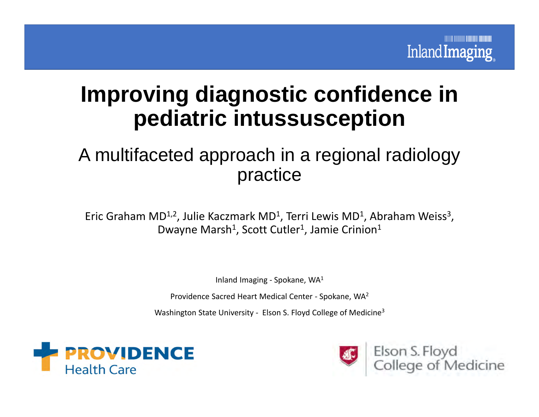### **Improving diagnostic confidence in pediatric intussusception**

### A multifaceted approach in a regional radiology practice

Eric Graham MD $^{1,2}$ , Julie Kaczmark MD $^1$ , Terri Lewis MD $^1$ , Abraham Weiss $^3$ , Dwayne Marsh<sup>1</sup>, Scott Cutler<sup>1</sup>, Jamie Crinion<sup>1</sup>

Inland Imaging - Spokane, WA $^{1}$ 

Providence Sacred Heart Medical Center - Spokane, WA<sup>2</sup>

Washington State University ‐ Elson S. Floyd College of Medicine3



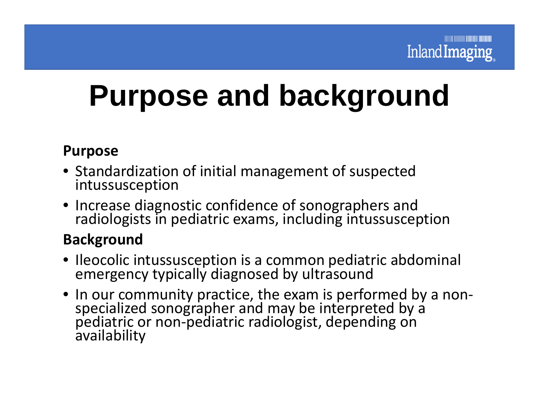# **Purpose and background**

### **Purpose**

- Standardization of initial management of suspected intussusception
- Increasemore configure commence of comparison and radiologists in pediatric exams, including intussusception

### **Background**

- Ileocolic intussusception is a common pediatric abdominal emergency typically diagnosed by ultrasound
- In our community practice, the exam is performed by a non ‐ specialized sonographer and may be interpreted by a pediatric or non ‐pediatric radiologist, depending on availability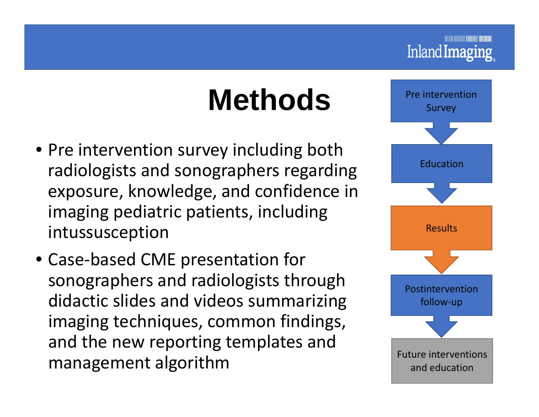## **Methods**

- Pre intervention survey including both radiologists and sonographers regarding exposure, knowledge, and confidence in imaging pediatric patients, including intussusception
- Case‐based CME presentation for sonographers and radiologists through didactic slides and videos summarizing imaging techniques, common findings, and the new reporting templates and management algorithm

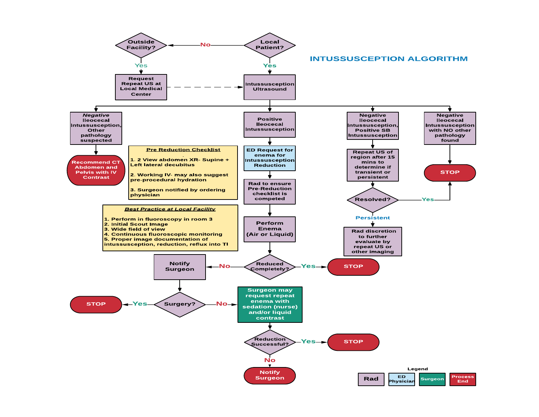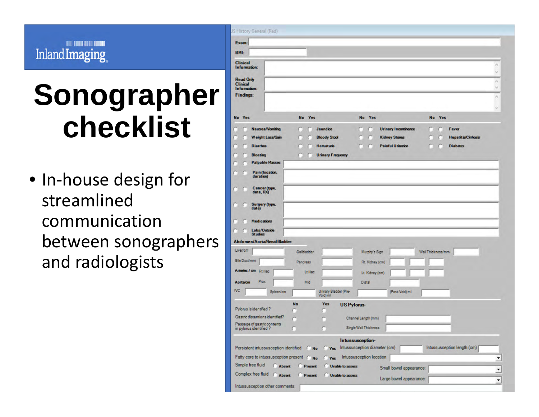#### **TITULI INI INI HITALI DINAMI** Inland Imaging

## **Sonographer checklist**

• In ‐house design for streamlinedcommunicationbetween sonographers and radiologists

| Exam:                                                                                                                                                                                                                                                    |                         |                           |                                             |                 |                             |                   |        |                             |
|----------------------------------------------------------------------------------------------------------------------------------------------------------------------------------------------------------------------------------------------------------|-------------------------|---------------------------|---------------------------------------------|-----------------|-----------------------------|-------------------|--------|-----------------------------|
| BMI:                                                                                                                                                                                                                                                     |                         |                           |                                             |                 |                             |                   |        |                             |
| <b>Clinical</b><br>Information:<br><b>Read Only</b><br><b>Clinical</b><br>Information:                                                                                                                                                                   |                         |                           |                                             |                 |                             |                   |        |                             |
| Findings:                                                                                                                                                                                                                                                |                         |                           |                                             |                 |                             |                   |        |                             |
|                                                                                                                                                                                                                                                          |                         |                           |                                             |                 |                             |                   |        |                             |
| No Yes                                                                                                                                                                                                                                                   | No Yes                  |                           |                                             | No Yes          |                             |                   | No Yes |                             |
| <b>Nausea/Voming</b>                                                                                                                                                                                                                                     | г                       | Jaundice                  |                                             | n               | <b>Urinary Incontinence</b> | n                 | r      | Fever                       |
| <b>Weight Loss/Gain</b>                                                                                                                                                                                                                                  |                         | <b>Bloody Stool</b>       |                                             | n               | <b>Kidney Stones</b>        |                   |        | <b>Hepatitis/Cinhosis</b>   |
| <b>Diarrhea</b>                                                                                                                                                                                                                                          |                         | <b>Hematuria</b>          |                                             |                 | <b>Painful Urination</b>    |                   |        | <b>Diabetes</b>             |
| <b>Bloating</b>                                                                                                                                                                                                                                          |                         | <b>Urinary Frequency</b>  |                                             |                 |                             |                   |        |                             |
| <b>Palpable Masses</b>                                                                                                                                                                                                                                   |                         |                           |                                             |                 |                             |                   |        |                             |
| Pain (location,                                                                                                                                                                                                                                          |                         |                           |                                             |                 |                             |                   |        |                             |
| duration)                                                                                                                                                                                                                                                |                         |                           |                                             |                 |                             |                   |        |                             |
| Cancer (type,<br>date, RX)                                                                                                                                                                                                                               |                         |                           |                                             |                 |                             |                   |        |                             |
|                                                                                                                                                                                                                                                          |                         |                           |                                             |                 |                             |                   |        |                             |
|                                                                                                                                                                                                                                                          |                         |                           |                                             |                 |                             |                   |        |                             |
| <b>Surgery (type,</b><br>ĸ                                                                                                                                                                                                                               |                         |                           |                                             |                 |                             |                   |        |                             |
| date)                                                                                                                                                                                                                                                    |                         |                           |                                             |                 |                             |                   |        |                             |
| <b>Medications</b>                                                                                                                                                                                                                                       |                         |                           |                                             |                 |                             |                   |        |                             |
| Labs/Outside<br><b>Studies</b>                                                                                                                                                                                                                           |                         |                           |                                             |                 |                             |                   |        |                             |
|                                                                                                                                                                                                                                                          |                         |                           |                                             |                 |                             |                   |        |                             |
|                                                                                                                                                                                                                                                          | Galibladder             |                           |                                             |                 |                             |                   |        |                             |
|                                                                                                                                                                                                                                                          |                         |                           |                                             | Murphy's Sign   |                             | Wall Thickness/mm |        |                             |
|                                                                                                                                                                                                                                                          | Pancreas                |                           |                                             | Rt. Kidney (cm) |                             |                   |        |                             |
|                                                                                                                                                                                                                                                          |                         | Lt liac                   |                                             | Lt. Kidney (cm) |                             |                   |        |                             |
| <b>Prox</b>                                                                                                                                                                                                                                              |                         | Mid                       |                                             | <b>Distal</b>   |                             |                   |        |                             |
| Spleen/cm                                                                                                                                                                                                                                                |                         | Urinary Bladder (Pre-     |                                             |                 | (Post-Void) ml              |                   |        |                             |
|                                                                                                                                                                                                                                                          | No                      | Void) mi<br><b>Yes</b>    |                                             |                 |                             |                   |        |                             |
|                                                                                                                                                                                                                                                          |                         | n                         | <b>US Pylorus-</b>                          |                 |                             |                   |        |                             |
|                                                                                                                                                                                                                                                          |                         |                           | Channel Length (mm)                         |                 |                             |                   |        |                             |
| Abdomen/Aorta/Renal-Bladder:<br><b>Liver/cm</b><br><b>Bile Duct/mm</b><br>Arteries / cm Rt Iliac<br><b>Aorta/cm</b><br><b>IVC</b><br>Pylorus Is identified?<br>Gastric distentions identified?<br>Passage of gastric contents<br>in pylorus identified ? |                         |                           | Single Wall Thickness                       |                 |                             |                   |        |                             |
|                                                                                                                                                                                                                                                          |                         |                           |                                             |                 |                             |                   |        |                             |
|                                                                                                                                                                                                                                                          |                         |                           | Intussusception-                            |                 |                             |                   |        |                             |
|                                                                                                                                                                                                                                                          |                         | <b>Yes</b>                | Intussusception diameter (cm)               |                 |                             |                   |        | Intussusception length (cm) |
|                                                                                                                                                                                                                                                          |                         | Yes                       | Intussusception location                    |                 |                             |                   |        |                             |
| Persistent intussusception identified No<br>Fatty core to intussusception present @ No<br>Simple free fluid<br>Complex free fluid                                                                                                                        | Absent<br><b>Absent</b> | <b>Present</b><br>Present | Unable to assess<br><b>Unable to assess</b> |                 | Small bowel appearance:     |                   |        |                             |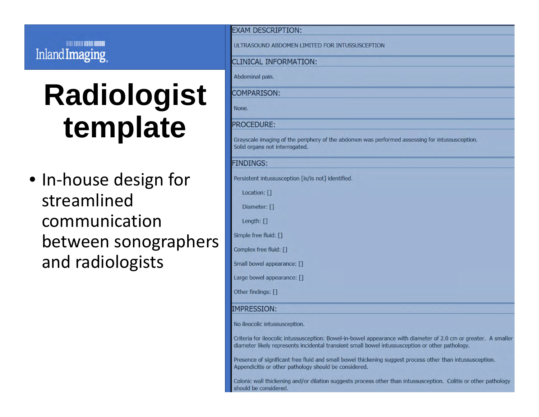**THE REAL PROPERTY AND REAL PROPERTY** Inland Imaging

## **Radiologist template**

• In ‐house design for streamlined communicationbetween sonographers and radiologists

| <b>EXAM DESCRIPTION:</b>                                                                                                                                                                                           |
|--------------------------------------------------------------------------------------------------------------------------------------------------------------------------------------------------------------------|
| ULTRASOUND ABDOMEN LIMITED FOR INTUSSUSCEPTION                                                                                                                                                                     |
| <b>CLINICAL INFORMATION:</b>                                                                                                                                                                                       |
| Abdominal pain.                                                                                                                                                                                                    |
| <b>COMPARISON:</b>                                                                                                                                                                                                 |
| None.                                                                                                                                                                                                              |
| <b>PROCEDURE:</b>                                                                                                                                                                                                  |
| Grayscale imaging of the periphery of the abdomen was performed assessing for intussusception.<br>Solid organs not interrogated.                                                                                   |
| <b>FINDINGS:</b>                                                                                                                                                                                                   |
| Persistent intussusception [is/is not] identified.                                                                                                                                                                 |
| Location: []                                                                                                                                                                                                       |
| Diameter: []                                                                                                                                                                                                       |
| Length: []                                                                                                                                                                                                         |
| Simple free fluid: []                                                                                                                                                                                              |
| Complex free fluid: []                                                                                                                                                                                             |
| Small bowel appearance: []                                                                                                                                                                                         |
| Large bowel appearance: []                                                                                                                                                                                         |
| Other findings: []                                                                                                                                                                                                 |
| <b>IMPRESSION:</b>                                                                                                                                                                                                 |
| No ileocolic intussusception.                                                                                                                                                                                      |
| Criteria for ileocolic intussusception: Bowel-in-bowel appearance with diameter of 2.0 cm or greater. A smaller<br>diameter likely represents incidental transient small bowel intussusception or other pathology. |
| Presence of significant free fluid and small bowel thickening suggest process other than intussusception.<br>Appendicitis or other pathology should be considered.                                                 |

Colonic wall thickening and/or dilation suggests process other than intussusception. Colitis or other pathology should be considered.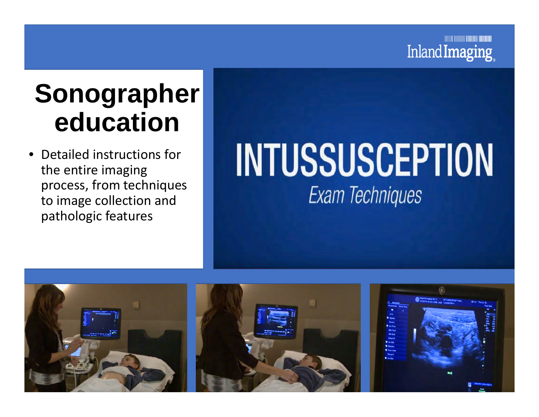

## **Sonographer education**

•• Detailed instructions for the entire imaging process, from techniques to image collection and pathologic features

# INTUSSUSCEPTION **Exam Techniques**

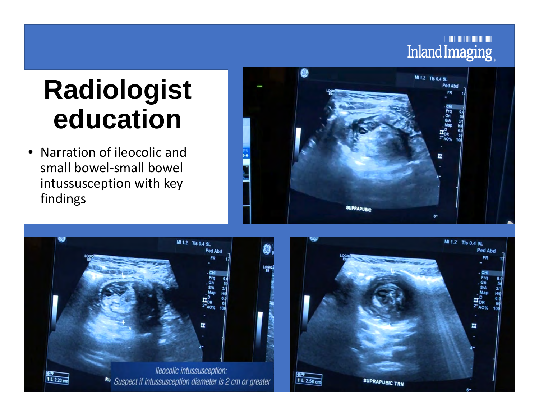### <u> ANALIA ANALIA ANALIA INDIANA</u> Inland Imaging

## **Radiologist education**

• Narration of ileocolic and small bowel ‐small bowel intussusception with key findings





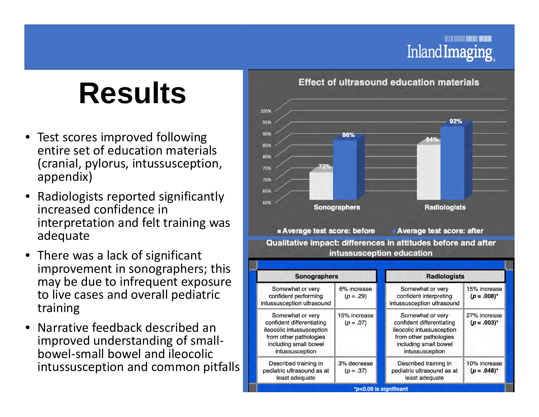### **TITULI INTIIN INTIIN I** Inland Imaging

## **Results**

- $\bullet$  Test scores improved following entire set of education materials (cranial, pylorus, intussusception, appendix)
- • Radiologists reported significantly increased confidence in interpretation and felt training was adequate
- • $\bullet\,$  There was a lack of significant improvement in sonographers; this may be due to infrequent exposure to live cases and overall pediatric training
- • Narrative feedback described an improved understanding of small‐ bowel‐small bowel and ileocolic intussusception and common pitfalls



#### **Effect of ultrasound education materials**